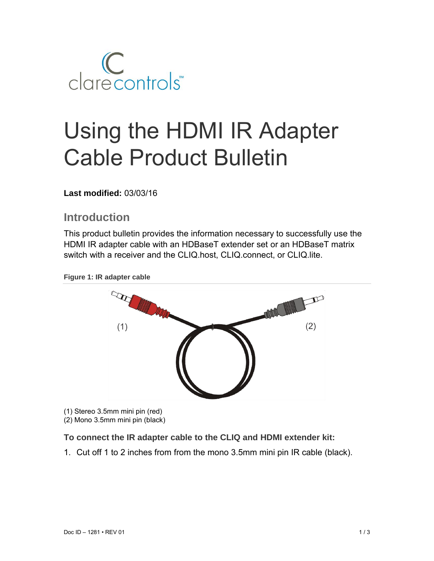

# Using the HDMI IR Adapter Cable Product Bulletin

#### **Last modified:** 03/03/16

## **Introduction**

This product bulletin provides the information necessary to successfully use the HDMI IR adapter cable with an HDBaseT extender set or an HDBaseT matrix switch with a receiver and the CLIQ.host, CLIQ.connect, or CLIQ.lite.





(1) Stereo 3.5mm mini pin (red) (2) Mono 3.5mm mini pin (black)

#### **To connect the IR adapter cable to the CLIQ and HDMI extender kit:**

1. Cut off 1 to 2 inches from from the mono 3.5mm mini pin IR cable (black).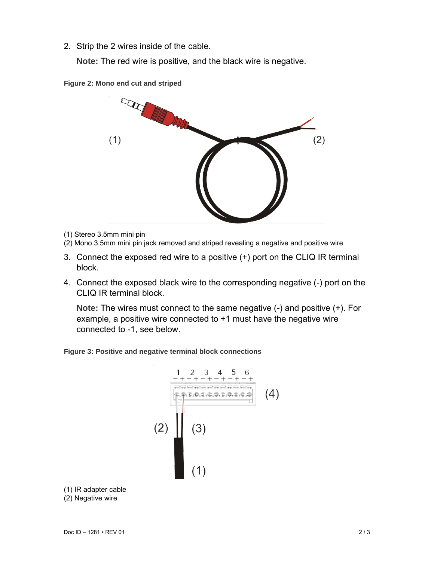2. Strip the 2 wires inside of the cable.

**Note:** The red wire is positive, and the black wire is negative.





- (1) Stereo 3.5mm mini pin
- (2) Mono 3.5mm mini pin jack removed and striped revealing a negative and positive wire
- 3. Connect the exposed red wire to a positive (+) port on the CLIQ IR terminal block.
- 4. Connect the exposed black wire to the corresponding negative (-) port on the CLIQ IR terminal block.

**Note:** The wires must connect to the same negative (-) and positive (+). For example, a positive wire connected to +1 must have the negative wire connected to -1, see below.





(1) IR adapter cable

(2) Negative wire